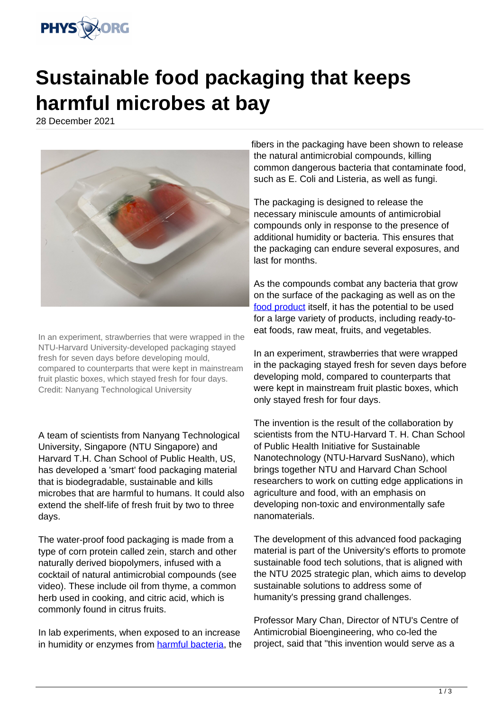

## **Sustainable food packaging that keeps harmful microbes at bay**

28 December 2021



In an experiment, strawberries that were wrapped in the NTU-Harvard University-developed packaging stayed fresh for seven days before developing mould, compared to counterparts that were kept in mainstream fruit plastic boxes, which stayed fresh for four days. Credit: Nanyang Technological University

A team of scientists from Nanyang Technological University, Singapore (NTU Singapore) and Harvard T.H. Chan School of Public Health, US, has developed a 'smart' food packaging material that is biodegradable, sustainable and kills microbes that are harmful to humans. It could also extend the shelf-life of fresh fruit by two to three days.

The water-proof food packaging is made from a type of corn protein called zein, starch and other naturally derived biopolymers, infused with a cocktail of natural antimicrobial compounds (see video). These include oil from thyme, a common herb used in cooking, and citric acid, which is commonly found in citrus fruits.

In lab experiments, when exposed to an increase in humidity or enzymes from [harmful bacteria,](https://phys.org/tags/harmful+bacteria/) the fibers in the packaging have been shown to release the natural antimicrobial compounds, killing common dangerous bacteria that contaminate food, such as E. Coli and Listeria, as well as fungi.

The packaging is designed to release the necessary miniscule amounts of antimicrobial compounds only in response to the presence of additional humidity or bacteria. This ensures that the packaging can endure several exposures, and last for months.

As the compounds combat any bacteria that grow on the surface of the packaging as well as on the [food product](https://phys.org/tags/food+product/) itself, it has the potential to be used for a large variety of products, including ready-toeat foods, raw meat, fruits, and vegetables.

In an experiment, strawberries that were wrapped in the packaging stayed fresh for seven days before developing mold, compared to counterparts that were kept in mainstream fruit plastic boxes, which only stayed fresh for four days.

The invention is the result of the collaboration by scientists from the NTU-Harvard T. H. Chan School of Public Health Initiative for Sustainable Nanotechnology (NTU-Harvard SusNano), which brings together NTU and Harvard Chan School researchers to work on cutting edge applications in agriculture and food, with an emphasis on developing non-toxic and environmentally safe nanomaterials.

The development of this advanced food packaging material is part of the University's efforts to promote sustainable food tech solutions, that is aligned with the NTU 2025 strategic plan, which aims to develop sustainable solutions to address some of humanity's pressing grand challenges.

Professor Mary Chan, Director of NTU's Centre of Antimicrobial Bioengineering, who co-led the project, said that "this invention would serve as a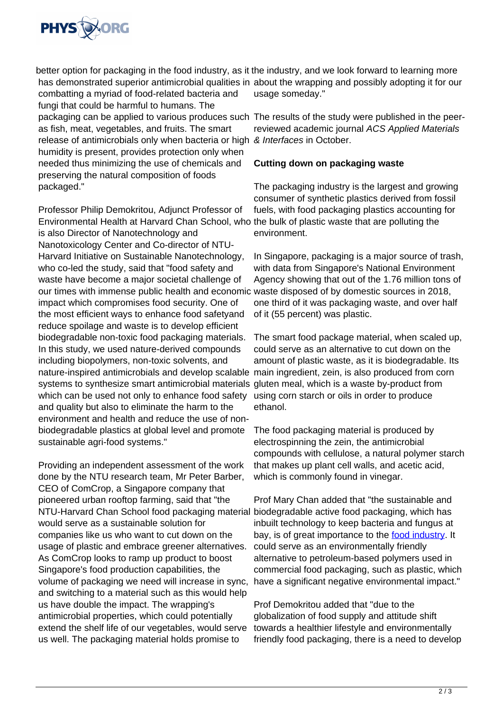

better option for packaging in the food industry, as it the industry, and we look forward to learning more has demonstrated superior antimicrobial qualities in about the wrapping and possibly adopting it for our combatting a myriad of food-related bacteria and usage someday."

fungi that could be harmful to humans. The packaging can be applied to various produces such The results of the study were published in the peeras fish, meat, vegetables, and fruits. The smart release of antimicrobials only when bacteria or high & Interfaces in October. humidity is present, provides protection only when needed thus minimizing the use of chemicals and preserving the natural composition of foods packaged."

Professor Philip Demokritou, Adjunct Professor of Environmental Health at Harvard Chan School, who the bulk of plastic waste that are polluting the is also Director of Nanotechnology and Nanotoxicology Center and Co-director of NTU-Harvard Initiative on Sustainable Nanotechnology, who co-led the study, said that "food safety and waste have become a major societal challenge of our times with immense public health and economic waste disposed of by domestic sources in 2018, impact which compromises food security. One of the most efficient ways to enhance food safetyand reduce spoilage and waste is to develop efficient biodegradable non-toxic food packaging materials. In this study, we used nature-derived compounds including biopolymers, non-toxic solvents, and nature-inspired antimicrobials and develop scalable main ingredient, zein, is also produced from corn systems to synthesize smart antimicrobial materials gluten meal, which is a waste by-product from which can be used not only to enhance food safety and quality but also to eliminate the harm to the environment and health and reduce the use of nonbiodegradable plastics at global level and promote sustainable agri-food systems."

Providing an independent assessment of the work done by the NTU research team, Mr Peter Barber, CEO of ComCrop, a Singapore company that pioneered urban rooftop farming, said that "the NTU-Harvard Chan School food packaging material would serve as a sustainable solution for companies like us who want to cut down on the usage of plastic and embrace greener alternatives. As ComCrop looks to ramp up product to boost Singapore's food production capabilities, the volume of packaging we need will increase in sync, and switching to a material such as this would help us have double the impact. The wrapping's antimicrobial properties, which could potentially extend the shelf life of our vegetables, would serve us well. The packaging material holds promise to

reviewed academic journal ACS Applied Materials

## **Cutting down on packaging waste**

The packaging industry is the largest and growing consumer of synthetic plastics derived from fossil fuels, with food packaging plastics accounting for environment.

In Singapore, packaging is a major source of trash, with data from Singapore's National Environment Agency showing that out of the 1.76 million tons of one third of it was packaging waste, and over half of it (55 percent) was plastic.

The smart food package material, when scaled up, could serve as an alternative to cut down on the amount of plastic waste, as it is biodegradable. Its using corn starch or oils in order to produce ethanol.

The food packaging material is produced by electrospinning the zein, the antimicrobial compounds with cellulose, a natural polymer starch that makes up plant cell walls, and acetic acid, which is commonly found in vinegar.

Prof Mary Chan added that "the sustainable and biodegradable active food packaging, which has inbuilt technology to keep bacteria and fungus at bay, is of great importance to the [food industry.](https://phys.org/tags/food+industry/) It could serve as an environmentally friendly alternative to petroleum-based polymers used in commercial food packaging, such as plastic, which have a significant negative environmental impact."

Prof Demokritou added that "due to the globalization of food supply and attitude shift towards a healthier lifestyle and environmentally friendly food packaging, there is a need to develop